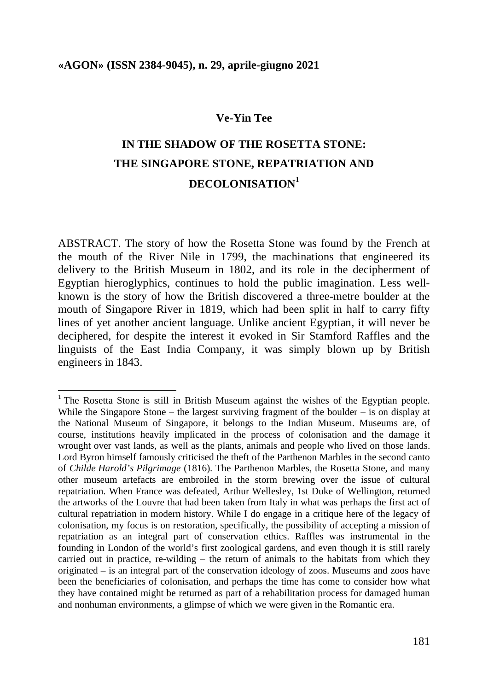#### **Ve-Yin Tee**

# **IN THE SHADOW OF THE ROSETTA STONE: THE SINGAPORE STONE, REPATRIATION AND DECOLONISATION<sup>1</sup>**

ABSTRACT. The story of how the Rosetta Stone was found by the French at the mouth of the River Nile in 1799, the machinations that engineered its delivery to the British Museum in 1802, and its role in the decipherment of Egyptian hieroglyphics, continues to hold the public imagination. Less wellknown is the story of how the British discovered a three-metre boulder at the mouth of Singapore River in 1819, which had been split in half to carry fifty lines of yet another ancient language. Unlike ancient Egyptian, it will never be deciphered, for despite the interest it evoked in Sir Stamford Raffles and the linguists of the East India Company, it was simply blown up by British engineers in 1843.

<sup>&</sup>lt;sup>1</sup> The Rosetta Stone is still in British Museum against the wishes of the Egyptian people. While the Singapore Stone – the largest surviving fragment of the boulder – is on display at the National Museum of Singapore, it belongs to the Indian Museum. Museums are, of course, institutions heavily implicated in the process of colonisation and the damage it wrought over vast lands, as well as the plants, animals and people who lived on those lands. Lord Byron himself famously criticised the theft of the Parthenon Marbles in the second canto of *Childe Harold's Pilgrimage* (1816). The Parthenon Marbles, the Rosetta Stone, and many other museum artefacts are embroiled in the storm brewing over the issue of cultural repatriation. When France was defeated, Arthur Wellesley, 1st Duke of Wellington, returned the artworks of the Louvre that had been taken from Italy in what was perhaps the first act of cultural repatriation in modern history. While I do engage in a critique here of the legacy of colonisation, my focus is on restoration, specifically, the possibility of accepting a mission of repatriation as an integral part of conservation ethics. Raffles was instrumental in the founding in London of the world's first zoological gardens, and even though it is still rarely carried out in practice, re-wilding – the return of animals to the habitats from which they originated – is an integral part of the conservation ideology of zoos. Museums and zoos have been the beneficiaries of colonisation, and perhaps the time has come to consider how what they have contained might be returned as part of a rehabilitation process for damaged human and nonhuman environments, a glimpse of which we were given in the Romantic era.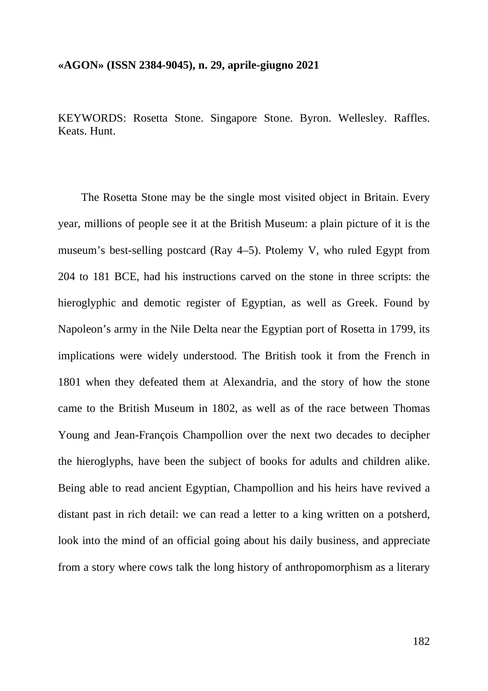KEYWORDS: Rosetta Stone. Singapore Stone. Byron. Wellesley. Raffles. Keats. Hunt.

The Rosetta Stone may be the single most visited object in Britain. Every year, millions of people see it at the British Museum: a plain picture of it is the museum's best-selling postcard (Ray 4–5). Ptolemy V, who ruled Egypt from 204 to 181 BCE, had his instructions carved on the stone in three scripts: the hieroglyphic and demotic register of Egyptian, as well as Greek. Found by Napoleon's army in the Nile Delta near the Egyptian port of Rosetta in 1799, its implications were widely understood. The British took it from the French in 1801 when they defeated them at Alexandria, and the story of how the stone came to the British Museum in 1802, as well as of the race between Thomas Young and Jean-François Champollion over the next two decades to decipher the hieroglyphs, have been the subject of books for adults and children alike. Being able to read ancient Egyptian, Champollion and his heirs have revived a distant past in rich detail: we can read a letter to a king written on a potsherd, look into the mind of an official going about his daily business, and appreciate from a story where cows talk the long history of anthropomorphism as a literary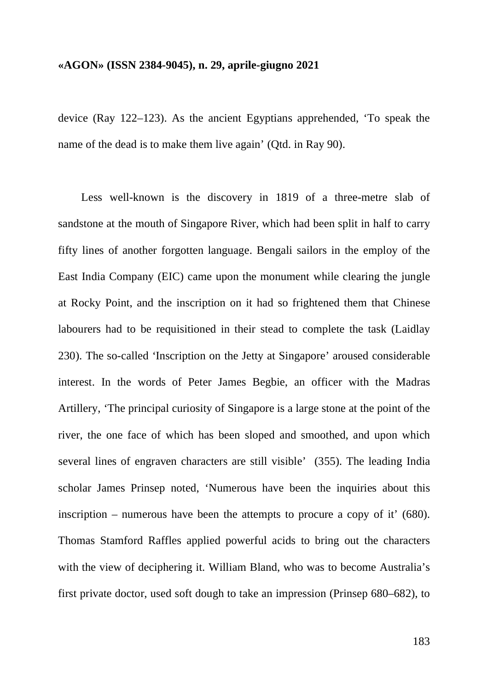device (Ray 122–123). As the ancient Egyptians apprehended, 'To speak the name of the dead is to make them live again' (Qtd. in Ray 90).

Less well-known is the discovery in 1819 of a three-metre slab of sandstone at the mouth of Singapore River, which had been split in half to carry fifty lines of another forgotten language. Bengali sailors in the employ of the East India Company (EIC) came upon the monument while clearing the jungle at Rocky Point, and the inscription on it had so frightened them that Chinese labourers had to be requisitioned in their stead to complete the task (Laidlay 230). The so-called 'Inscription on the Jetty at Singapore' aroused considerable interest. In the words of Peter James Begbie, an officer with the Madras Artillery, 'The principal curiosity of Singapore is a large stone at the point of the river, the one face of which has been sloped and smoothed, and upon which several lines of engraven characters are still visible' (355). The leading India scholar James Prinsep noted, 'Numerous have been the inquiries about this inscription – numerous have been the attempts to procure a copy of it' (680). Thomas Stamford Raffles applied powerful acids to bring out the characters with the view of deciphering it. William Bland, who was to become Australia's first private doctor, used soft dough to take an impression (Prinsep 680–682), to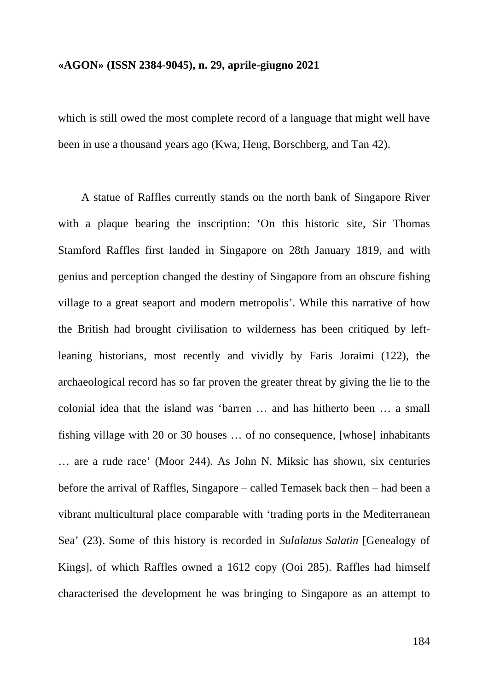which is still owed the most complete record of a language that might well have been in use a thousand years ago (Kwa, Heng, Borschberg, and Tan 42).

A statue of Raffles currently stands on the north bank of Singapore River with a plaque bearing the inscription: 'On this historic site, Sir Thomas Stamford Raffles first landed in Singapore on 28th January 1819, and with genius and perception changed the destiny of Singapore from an obscure fishing village to a great seaport and modern metropolis'. While this narrative of how the British had brought civilisation to wilderness has been critiqued by leftleaning historians, most recently and vividly by Faris Joraimi (122), the archaeological record has so far proven the greater threat by giving the lie to the colonial idea that the island was 'barren … and has hitherto been … a small fishing village with 20 or 30 houses … of no consequence, [whose] inhabitants … are a rude race' (Moor 244). As John N. Miksic has shown, six centuries before the arrival of Raffles, Singapore – called Temasek back then – had been a vibrant multicultural place comparable with 'trading ports in the Mediterranean Sea' (23). Some of this history is recorded in *Sulalatus Salatin* [Genealogy of Kings], of which Raffles owned a 1612 copy (Ooi 285). Raffles had himself characterised the development he was bringing to Singapore as an attempt to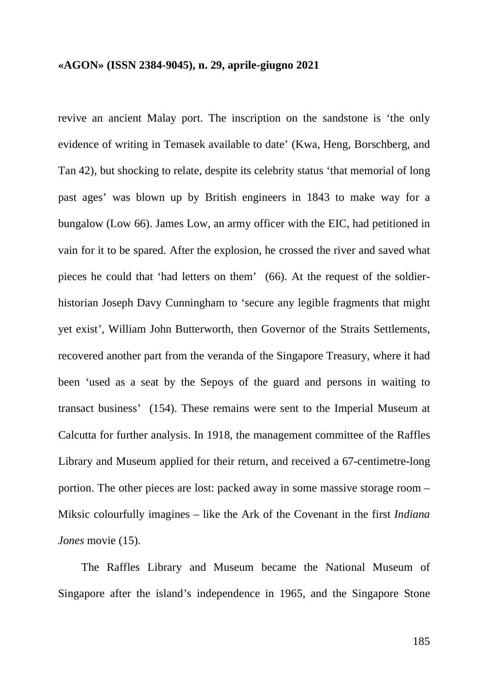revive an ancient Malay port. The inscription on the sandstone is 'the only evidence of writing in Temasek available to date' (Kwa, Heng, Borschberg, and Tan 42), but shocking to relate, despite its celebrity status 'that memorial of long past ages' was blown up by British engineers in 1843 to make way for a bungalow (Low 66). James Low, an army officer with the EIC, had petitioned in vain for it to be spared. After the explosion, he crossed the river and saved what pieces he could that 'had letters on them' (66). At the request of the soldierhistorian Joseph Davy Cunningham to 'secure any legible fragments that might yet exist', William John Butterworth, then Governor of the Straits Settlements, recovered another part from the veranda of the Singapore Treasury, where it had been 'used as a seat by the Sepoys of the guard and persons in waiting to transact business' (154). These remains were sent to the Imperial Museum at Calcutta for further analysis. In 1918, the management committee of the Raffles Library and Museum applied for their return, and received a 67-centimetre-long portion. The other pieces are lost: packed away in some massive storage room – Miksic colourfully imagines – like the Ark of the Covenant in the first *Indiana Jones* movie (15).

The Raffles Library and Museum became the National Museum of Singapore after the island's independence in 1965, and the Singapore Stone

185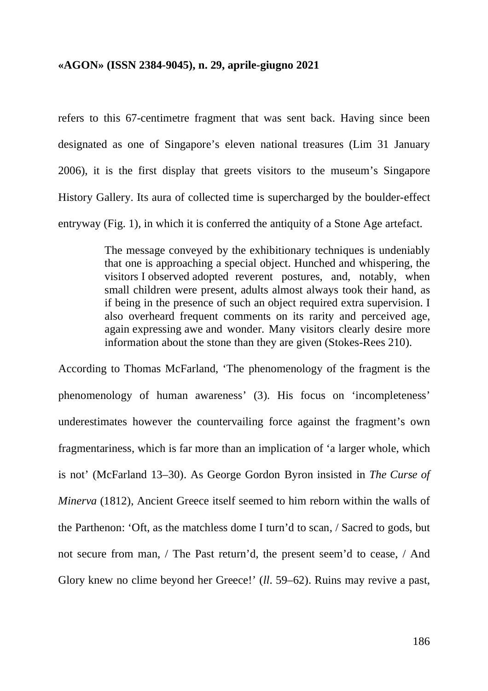refers to this 67-centimetre fragment that was sent back. Having since been designated as one of Singapore's eleven national treasures (Lim 31 January 2006), it is the first display that greets visitors to the museum's Singapore History Gallery. Its aura of collected time is supercharged by the boulder-effect entryway (Fig. 1), in which it is conferred the antiquity of a Stone Age artefact.

> The message conveyed by the exhibitionary techniques is undeniably that one is approaching a special object. Hunched and whispering, the visitors I observed adopted reverent postures, and, notably, when small children were present, adults almost always took their hand, as if being in the presence of such an object required extra supervision. I also overheard frequent comments on its rarity and perceived age, again expressing awe and wonder. Many visitors clearly desire more information about the stone than they are given (Stokes-Rees 210).

According to Thomas McFarland, 'The phenomenology of the fragment is the phenomenology of human awareness' (3). His focus on 'incompleteness' underestimates however the countervailing force against the fragment's own fragmentariness, which is far more than an implication of 'a larger whole, which is not' (McFarland 13–30). As George Gordon Byron insisted in *The Curse of Minerva* (1812), Ancient Greece itself seemed to him reborn within the walls of the Parthenon: 'Oft, as the matchless dome I turn'd to scan, / Sacred to gods, but not secure from man, / The Past return'd, the present seem'd to cease, / And Glory knew no clime beyond her Greece!' (*ll*. 59–62). Ruins may revive a past,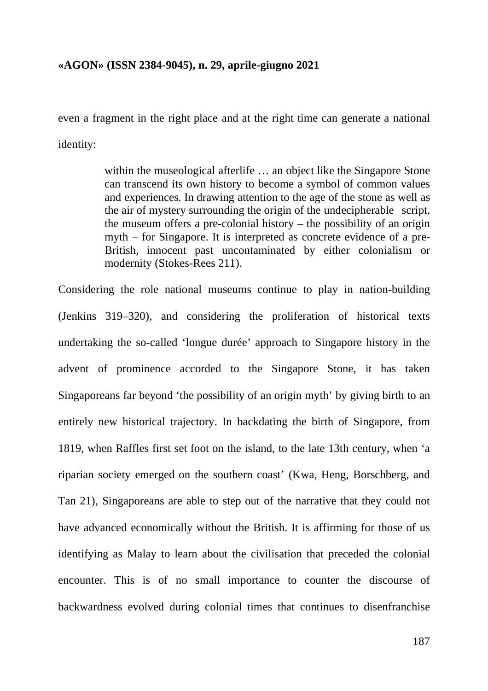even a fragment in the right place and at the right time can generate a national identity:

> within the museological afterlife … an object like the Singapore Stone can transcend its own history to become a symbol of common values and experiences. In drawing attention to the age of the stone as well as the air of mystery surrounding the origin of the undecipherable script, the museum offers a pre-colonial history – the possibility of an origin myth – for Singapore. It is interpreted as concrete evidence of a pre-British, innocent past uncontaminated by either colonialism or modernity (Stokes-Rees 211).

Considering the role national museums continue to play in nation-building (Jenkins 319–320), and considering the proliferation of historical texts undertaking the so-called 'longue durée' approach to Singapore history in the advent of prominence accorded to the Singapore Stone, it has taken Singaporeans far beyond 'the possibility of an origin myth' by giving birth to an entirely new historical trajectory. In backdating the birth of Singapore, from 1819, when Raffles first set foot on the island, to the late 13th century, when 'a riparian society emerged on the southern coast' (Kwa, Heng, Borschberg, and Tan 21), Singaporeans are able to step out of the narrative that they could not have advanced economically without the British. It is affirming for those of us identifying as Malay to learn about the civilisation that preceded the colonial encounter. This is of no small importance to counter the discourse of backwardness evolved during colonial times that continues to disenfranchise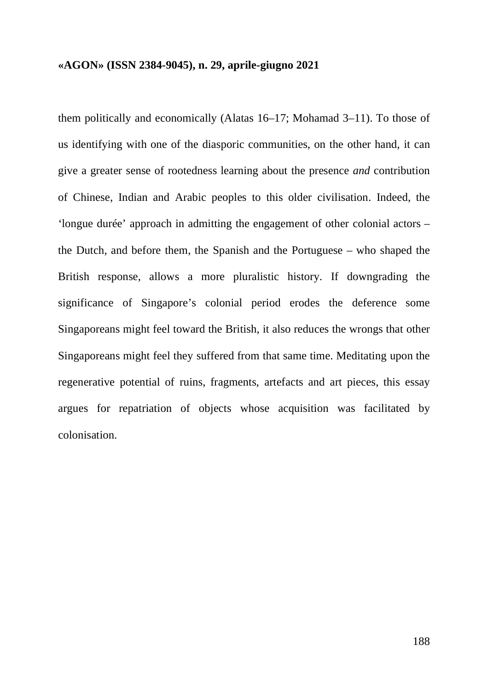them politically and economically (Alatas 16–17; Mohamad 3–11). To those of us identifying with one of the diasporic communities, on the other hand, it can give a greater sense of rootedness learning about the presence *and* contribution of Chinese, Indian and Arabic peoples to this older civilisation. Indeed, the 'longue durée' approach in admitting the engagement of other colonial actors – the Dutch, and before them, the Spanish and the Portuguese – who shaped the British response, allows a more pluralistic history. If downgrading the significance of Singapore's colonial period erodes the deference some Singaporeans might feel toward the British, it also reduces the wrongs that other Singaporeans might feel they suffered from that same time. Meditating upon the regenerative potential of ruins, fragments, artefacts and art pieces, this essay argues for repatriation of objects whose acquisition was facilitated by colonisation.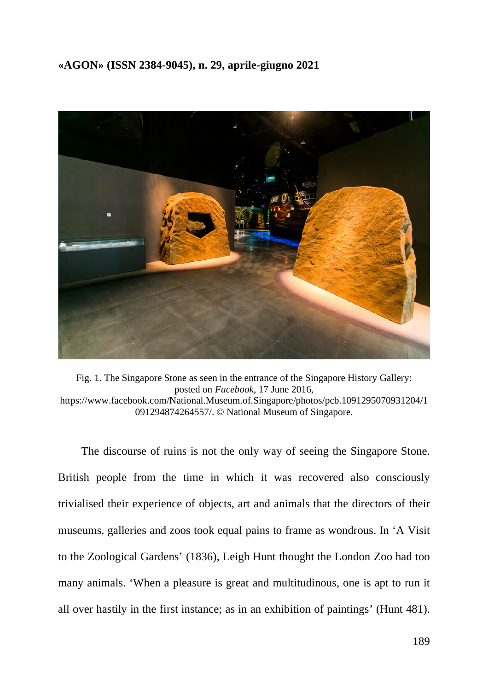

Fig. 1. The Singapore Stone as seen in the entrance of the Singapore History Gallery: posted on *Facebook*, 17 June 2016, https://www.facebook.com/National.Museum.of.Singapore/photos/pcb.1091295070931204/1 091294874264557/. © National Museum of Singapore.

The discourse of ruins is not the only way of seeing the Singapore Stone. British people from the time in which it was recovered also consciously trivialised their experience of objects, art and animals that the directors of their museums, galleries and zoos took equal pains to frame as wondrous. In 'A Visit to the Zoological Gardens' (1836), Leigh Hunt thought the London Zoo had too many animals. 'When a pleasure is great and multitudinous, one is apt to run it all over hastily in the first instance; as in an exhibition of paintings' (Hunt 481).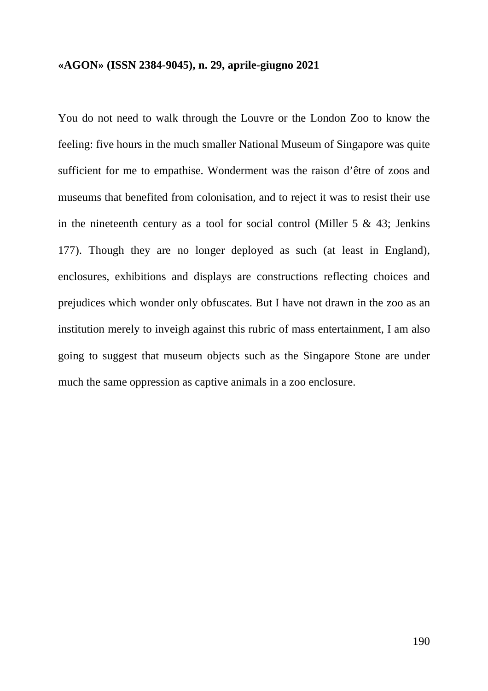You do not need to walk through the Louvre or the London Zoo to know the feeling: five hours in the much smaller National Museum of Singapore was quite sufficient for me to empathise. Wonderment was the raison d'être of zoos and museums that benefited from colonisation, and to reject it was to resist their use in the nineteenth century as a tool for social control (Miller  $5 \& 43$ ; Jenkins 177). Though they are no longer deployed as such (at least in England), enclosures, exhibitions and displays are constructions reflecting choices and prejudices which wonder only obfuscates. But I have not drawn in the zoo as an institution merely to inveigh against this rubric of mass entertainment, I am also going to suggest that museum objects such as the Singapore Stone are under much the same oppression as captive animals in a zoo enclosure.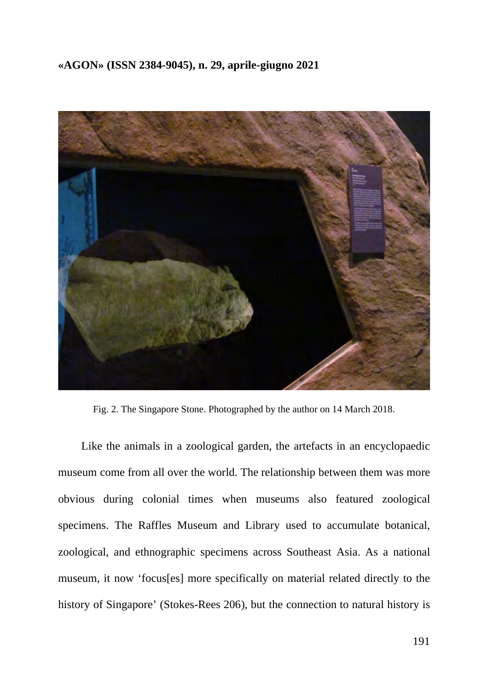

Fig. 2. The Singapore Stone. Photographed by the author on 14 March 2018.

Like the animals in a zoological garden, the artefacts in an encyclopaedic museum come from all over the world. The relationship between them was more obvious during colonial times when museums also featured zoological specimens. The Raffles Museum and Library used to accumulate botanical, zoological, and ethnographic specimens across Southeast Asia. As a national museum, it now 'focus[es] more specifically on material related directly to the history of Singapore' (Stokes-Rees 206), but the connection to natural history is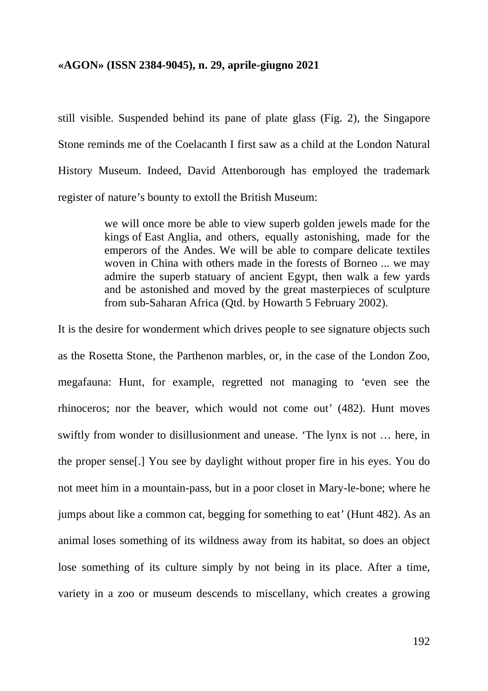still visible. Suspended behind its pane of plate glass (Fig. 2), the Singapore Stone reminds me of the Coelacanth I first saw as a child at the London Natural History Museum. Indeed, David Attenborough has employed the trademark register of nature's bounty to extoll the British Museum:

> we will once more be able to view superb golden jewels made for the kings of East Anglia, and others, equally astonishing, made for the emperors of the Andes. We will be able to compare delicate textiles woven in China with others made in the forests of Borneo ... we may admire the superb statuary of ancient Egypt, then walk a few yards and be astonished and moved by the great masterpieces of sculpture from sub-Saharan Africa (Qtd. by Howarth 5 February 2002).

It is the desire for wonderment which drives people to see signature objects such as the Rosetta Stone, the Parthenon marbles, or, in the case of the London Zoo, megafauna: Hunt, for example, regretted not managing to 'even see the rhinoceros; nor the beaver, which would not come out' (482). Hunt moves swiftly from wonder to disillusionment and unease. 'The lynx is not … here, in the proper sense[.] You see by daylight without proper fire in his eyes. You do not meet him in a mountain-pass, but in a poor closet in Mary-le-bone; where he jumps about like a common cat, begging for something to eat' (Hunt 482). As an animal loses something of its wildness away from its habitat, so does an object lose something of its culture simply by not being in its place. After a time, variety in a zoo or museum descends to miscellany, which creates a growing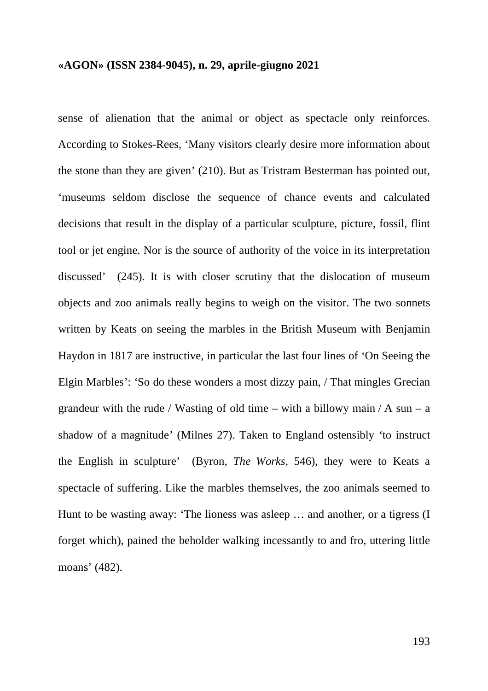sense of alienation that the animal or object as spectacle only reinforces. According to Stokes-Rees, 'Many visitors clearly desire more information about the stone than they are given' (210). But as Tristram Besterman has pointed out, 'museums seldom disclose the sequence of chance events and calculated decisions that result in the display of a particular sculpture, picture, fossil, flint tool or jet engine. Nor is the source of authority of the voice in its interpretation discussed' (245). It is with closer scrutiny that the dislocation of museum objects and zoo animals really begins to weigh on the visitor. The two sonnets written by Keats on seeing the marbles in the British Museum with Benjamin Haydon in 1817 are instructive, in particular the last four lines of 'On Seeing the Elgin Marbles': 'So do these wonders a most dizzy pain, / That mingles Grecian grandeur with the rude / Wasting of old time – with a billowy main / A sun – a shadow of a magnitude' (Milnes 27). Taken to England ostensibly 'to instruct the English in sculpture' (Byron, *The Works*, 546), they were to Keats a spectacle of suffering. Like the marbles themselves, the zoo animals seemed to Hunt to be wasting away: 'The lioness was asleep … and another, or a tigress (I forget which), pained the beholder walking incessantly to and fro, uttering little moans' (482).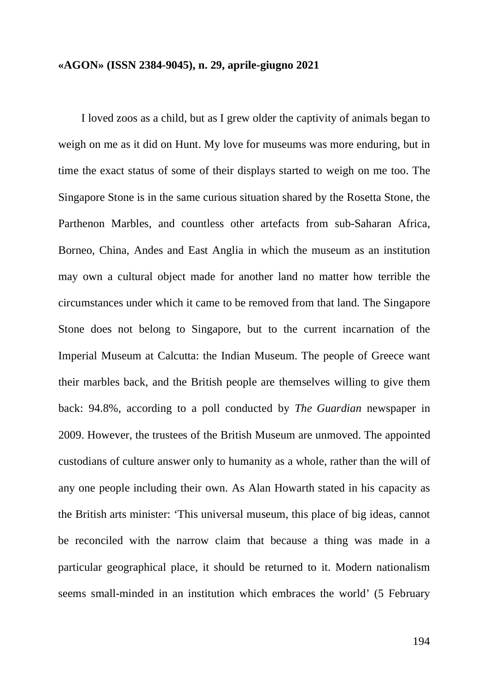I loved zoos as a child, but as I grew older the captivity of animals began to weigh on me as it did on Hunt. My love for museums was more enduring, but in time the exact status of some of their displays started to weigh on me too. The Singapore Stone is in the same curious situation shared by the Rosetta Stone, the Parthenon Marbles, and countless other artefacts from sub-Saharan Africa, Borneo, China, Andes and East Anglia in which the museum as an institution may own a cultural object made for another land no matter how terrible the circumstances under which it came to be removed from that land. The Singapore Stone does not belong to Singapore, but to the current incarnation of the Imperial Museum at Calcutta: the Indian Museum. The people of Greece want their marbles back, and the British people are themselves willing to give them back: 94.8%, according to a poll conducted by *The Guardian* newspaper in 2009. However, the trustees of the British Museum are unmoved. The appointed custodians of culture answer only to humanity as a whole, rather than the will of any one people including their own. As Alan Howarth stated in his capacity as the British arts minister: 'This universal museum, this place of big ideas, cannot be reconciled with the narrow claim that because a thing was made in a particular geographical place, it should be returned to it. Modern nationalism seems small-minded in an institution which embraces the world' (5 February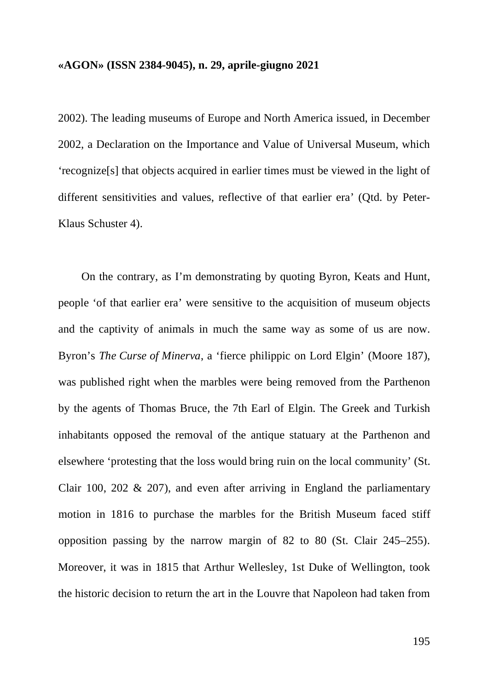2002). The leading museums of Europe and North America issued, in December 2002, a Declaration on the Importance and Value of Universal Museum, which 'recognize[s] that objects acquired in earlier times must be viewed in the light of different sensitivities and values, reflective of that earlier era' (Qtd. by Peter-Klaus Schuster 4).

On the contrary, as I'm demonstrating by quoting Byron, Keats and Hunt, people 'of that earlier era' were sensitive to the acquisition of museum objects and the captivity of animals in much the same way as some of us are now. Byron's *The Curse of Minerva*, a 'fierce philippic on Lord Elgin' (Moore 187), was published right when the marbles were being removed from the Parthenon by the agents of Thomas Bruce, the 7th Earl of Elgin. The Greek and Turkish inhabitants opposed the removal of the antique statuary at the Parthenon and elsewhere 'protesting that the loss would bring ruin on the local community' (St. Clair 100, 202 & 207), and even after arriving in England the parliamentary motion in 1816 to purchase the marbles for the British Museum faced stiff opposition passing by the narrow margin of 82 to 80 (St. Clair 245–255). Moreover, it was in 1815 that Arthur Wellesley, 1st Duke of Wellington, took the historic decision to return the art in the Louvre that Napoleon had taken from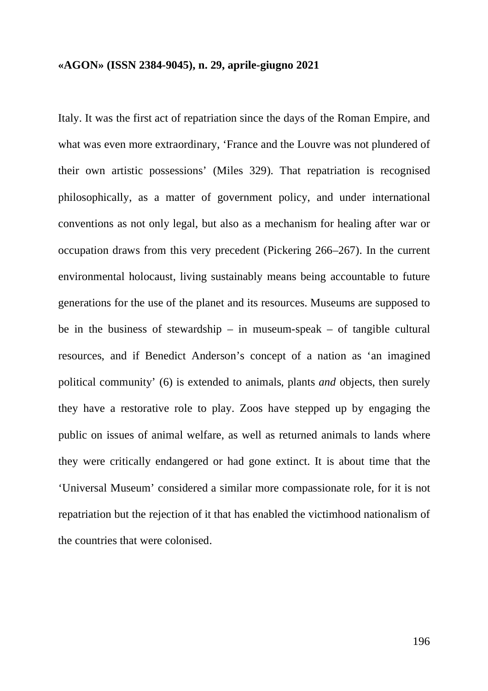Italy. It was the first act of repatriation since the days of the Roman Empire, and what was even more extraordinary, 'France and the Louvre was not plundered of their own artistic possessions' (Miles 329). That repatriation is recognised philosophically, as a matter of government policy, and under international conventions as not only legal, but also as a mechanism for healing after war or occupation draws from this very precedent (Pickering 266–267). In the current environmental holocaust, living sustainably means being accountable to future generations for the use of the planet and its resources. Museums are supposed to be in the business of stewardship – in museum-speak – of tangible cultural resources, and if Benedict Anderson's concept of a nation as 'an imagined political community' (6) is extended to animals, plants *and* objects, then surely they have a restorative role to play. Zoos have stepped up by engaging the public on issues of animal welfare, as well as returned animals to lands where they were critically endangered or had gone extinct. It is about time that the 'Universal Museum' considered a similar more compassionate role, for it is not repatriation but the rejection of it that has enabled the victimhood nationalism of the countries that were colonised.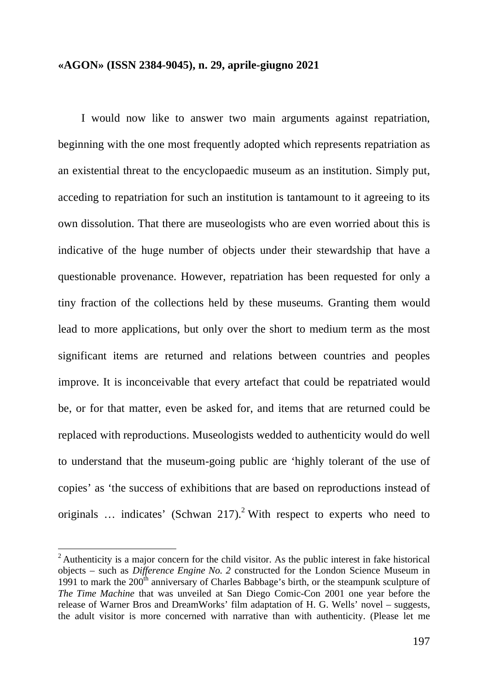I would now like to answer two main arguments against repatriation, beginning with the one most frequently adopted which represents repatriation as an existential threat to the encyclopaedic museum as an institution. Simply put, acceding to repatriation for such an institution is tantamount to it agreeing to its own dissolution. That there are museologists who are even worried about this is indicative of the huge number of objects under their stewardship that have a questionable provenance. However, repatriation has been requested for only a tiny fraction of the collections held by these museums. Granting them would lead to more applications, but only over the short to medium term as the most significant items are returned and relations between countries and peoples improve. It is inconceivable that every artefact that could be repatriated would be, or for that matter, even be asked for, and items that are returned could be replaced with reproductions. Museologists wedded to authenticity would do well to understand that the museum-going public are 'highly tolerant of the use of copies' as 'the success of exhibitions that are based on reproductions instead of originals  $\ldots$  indicates' (Schwan 217).<sup>2</sup> With respect to experts who need to

 $2$  Authenticity is a major concern for the child visitor. As the public interest in fake historical objects – such as *Difference Engine No. 2* constructed for the London Science Museum in 1991 to mark the  $200<sup>th</sup>$  anniversary of Charles Babbage's birth, or the steampunk sculpture of *The Time Machine* that was unveiled at San Diego Comic-Con 2001 one year before the release of Warner Bros and DreamWorks' film adaptation of H. G. Wells' novel – suggests, the adult visitor is more concerned with narrative than with authenticity. (Please let me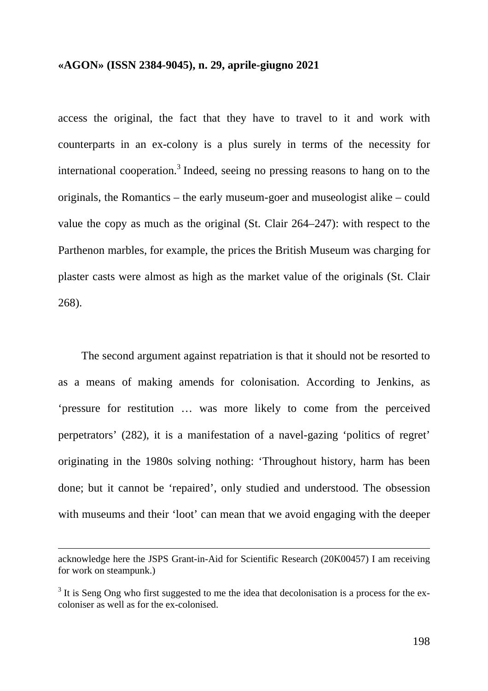access the original, the fact that they have to travel to it and work with counterparts in an ex-colony is a plus surely in terms of the necessity for international cooperation. <sup>3</sup> Indeed, seeing no pressing reasons to hang on to the originals, the Romantics – the early museum-goer and museologist alike – could value the copy as much as the original (St. Clair 264–247): with respect to the Parthenon marbles, for example, the prices the British Museum was charging for plaster casts were almost as high as the market value of the originals (St. Clair 268).

The second argument against repatriation is that it should not be resorted to as a means of making amends for colonisation. According to Jenkins, as 'pressure for restitution … was more likely to come from the perceived perpetrators' (282), it is a manifestation of a navel-gazing 'politics of regret' originating in the 1980s solving nothing: 'Throughout history, harm has been done; but it cannot be 'repaired', only studied and understood. The obsession with museums and their 'loot' can mean that we avoid engaging with the deeper

1

acknowledge here the JSPS Grant-in-Aid for Scientific Research (20K00457) I am receiving for work on steampunk.)

<sup>&</sup>lt;sup>3</sup> It is Seng Ong who first suggested to me the idea that decolonisation is a process for the excoloniser as well as for the ex-colonised.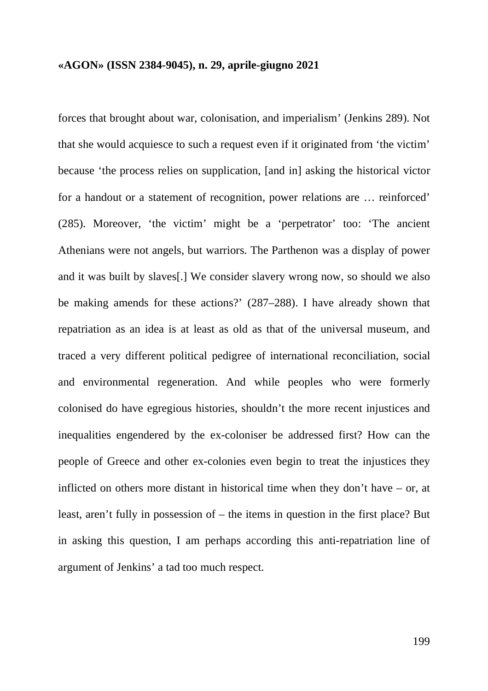forces that brought about war, colonisation, and imperialism' (Jenkins 289). Not that she would acquiesce to such a request even if it originated from 'the victim' because 'the process relies on supplication, [and in] asking the historical victor for a handout or a statement of recognition, power relations are … reinforced' (285). Moreover, 'the victim' might be a 'perpetrator' too: 'The ancient Athenians were not angels, but warriors. The Parthenon was a display of power and it was built by slaves[.] We consider slavery wrong now, so should we also be making amends for these actions?' (287–288). I have already shown that repatriation as an idea is at least as old as that of the universal museum, and traced a very different political pedigree of international reconciliation, social and environmental regeneration. And while peoples who were formerly colonised do have egregious histories, shouldn't the more recent injustices and inequalities engendered by the ex-coloniser be addressed first? How can the people of Greece and other ex-colonies even begin to treat the injustices they inflicted on others more distant in historical time when they don't have – or, at least, aren't fully in possession of – the items in question in the first place? But in asking this question, I am perhaps according this anti-repatriation line of argument of Jenkins' a tad too much respect.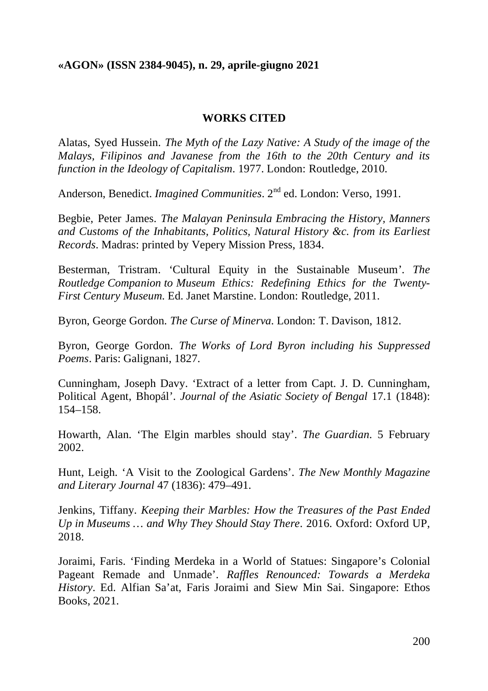## **WORKS CITED**

Alatas, Syed Hussein. *The Myth of the Lazy Native: A Study of the image of the Malays, Filipinos and Javanese from the 16th to the 20th Century and its function in the Ideology of Capitalism*. 1977. London: Routledge, 2010.

Anderson, Benedict. *Imagined Communities*. 2<sup>nd</sup> ed. London: Verso, 1991.

Begbie, Peter James. *The Malayan Peninsula Embracing the History, Manners and Customs of the Inhabitants, Politics, Natural History &c. from its Earliest Records*. Madras: printed by Vepery Mission Press, 1834.

Besterman, Tristram. 'Cultural Equity in the Sustainable Museum'. *The Routledge Companion to Museum Ethics: Redefining Ethics for the Twenty-First Century Museum*. Ed. Janet Marstine. London: Routledge, 2011.

Byron, George Gordon. *The Curse of Minerva*. London: T. Davison, 1812.

Byron, George Gordon. *The Works of Lord Byron including his Suppressed Poems*. Paris: Galignani, 1827.

Cunningham, Joseph Davy. 'Extract of a letter from Capt. J. D. Cunningham, Political Agent, Bhopál'. *Journal of the Asiatic Society of Bengal* 17.1 (1848): 154–158.

Howarth, Alan. 'The Elgin marbles should stay'. *The Guardian*. 5 February 2002.

Hunt, Leigh. 'A Visit to the Zoological Gardens'. *The New Monthly Magazine and Literary Journal* 47 (1836): 479–491.

Jenkins, Tiffany. *Keeping their Marbles: How the Treasures of the Past Ended Up in Museums … and Why They Should Stay There*. 2016. Oxford: Oxford UP, 2018.

Joraimi, Faris. 'Finding Merdeka in a World of Statues: Singapore's Colonial Pageant Remade and Unmade'. *Raffles Renounced: Towards a Merdeka History*. Ed. Alfian Sa'at, Faris Joraimi and Siew Min Sai. Singapore: Ethos Books, 2021.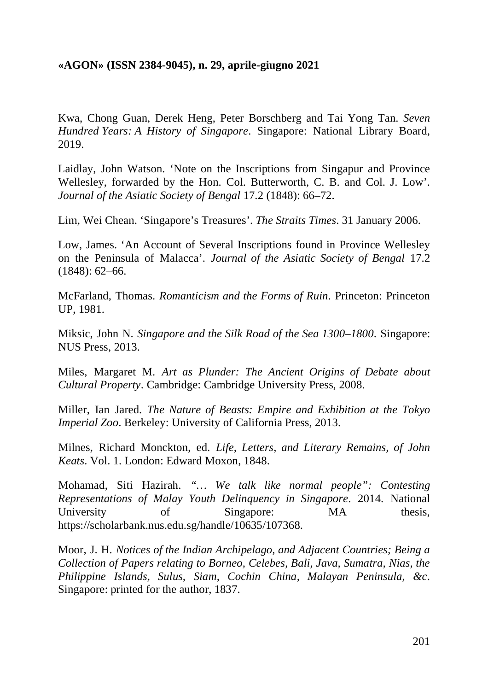Kwa, Chong Guan, Derek Heng, Peter Borschberg and Tai Yong Tan. *Seven Hundred Years: A History of Singapore*. Singapore: National Library Board, 2019.

Laidlay, John Watson. 'Note on the Inscriptions from Singapur and Province Wellesley, forwarded by the Hon. Col. Butterworth, C. B. and Col. J. Low'. *Journal of the Asiatic Society of Bengal* 17.2 (1848): 66–72.

Lim, Wei Chean. 'Singapore's Treasures'. *The Straits Times*. 31 January 2006.

Low, James. 'An Account of Several Inscriptions found in Province Wellesley on the Peninsula of Malacca'. *Journal of the Asiatic Society of Bengal* 17.2 (1848): 62–66.

McFarland, Thomas. *Romanticism and the Forms of Ruin*. Princeton: Princeton UP, 1981.

Miksic, John N. *Singapore and the Silk Road of the Sea 1300–1800*. Singapore: NUS Press, 2013.

Miles, Margaret M. *Art as Plunder: The Ancient Origins of Debate about Cultural Property*. Cambridge: Cambridge University Press, 2008.

Miller, Ian Jared. *The Nature of Beasts: Empire and Exhibition at the Tokyo Imperial Zoo*. Berkeley: University of California Press, 2013.

Milnes, Richard Monckton, ed. *Life, Letters, and Literary Remains, of John Keats*. Vol. 1. London: Edward Moxon, 1848.

Mohamad, Siti Hazirah. *"… We talk like normal people": Contesting Representations of Malay Youth Delinquency in Singapore*. 2014. National University of Singapore: MA thesis, https://scholarbank.nus.edu.sg/handle/10635/107368.

Moor, J. H. *Notices of the Indian Archipelago, and Adjacent Countries; Being a Collection of Papers relating to Borneo, Celebes, Bali, Java, Sumatra, Nias, the Philippine Islands, Sulus, Siam, Cochin China, Malayan Peninsula, &c*. Singapore: printed for the author, 1837.